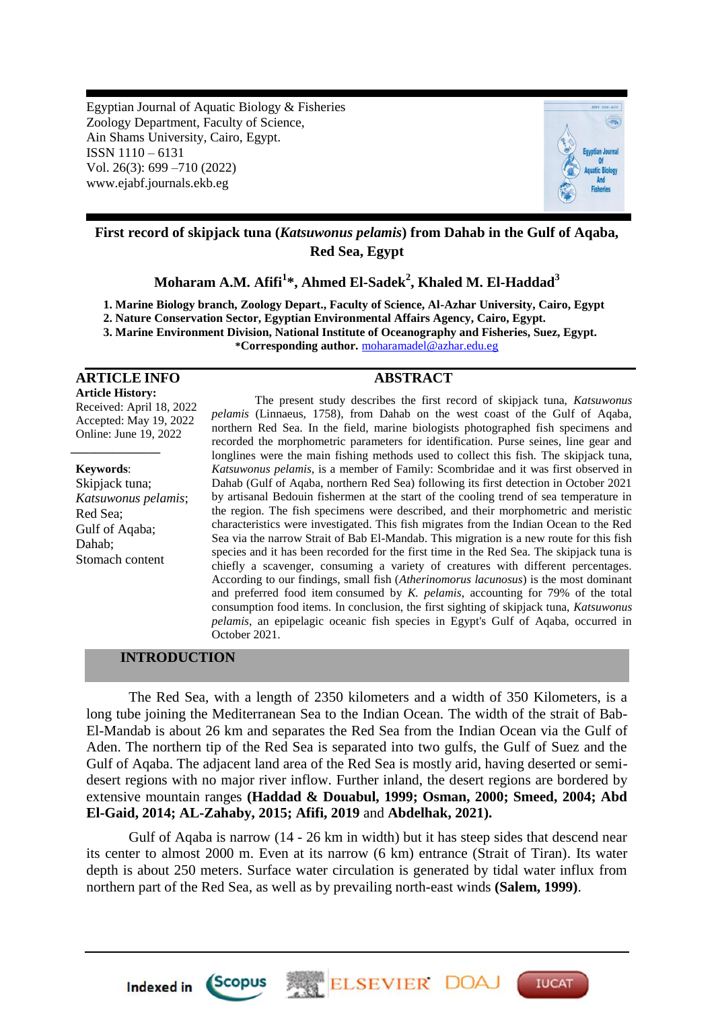Egyptian Journal of Aquatic Biology & Fisheries Zoology Department, Faculty of Science, Ain Shams University, Cairo, Egypt. ISSN 1110 – 6131 Vol. 26(3): 699 –710 (2022) www.ejabf.journals.ekb.eg



# **First record of skipjack tuna (***Katsuwonus pelamis***) from Dahab in the Gulf of Aqaba, Red Sea, Egypt**

**Moharam A.M. Afifi<sup>1</sup> \*, Ahmed El-Sadek<sup>2</sup> , Khaled M. El-Haddad<sup>3</sup>**

**1. Marine Biology branch, Zoology Depart., Faculty of Science, Al-Azhar University, Cairo, Egypt** 

**2. Nature Conservation Sector, Egyptian Environmental Affairs Agency, Cairo, Egypt.**

**3. Marine Environment Division, National Institute of Oceanography and Fisheries, Suez, Egypt.**

**\*Corresponding author.** [moharamadel@azhar.edu.eg](mailto:moharamadel@azhar.edu.eg)

# **ARTICLE INFO ABSTRACT**

*\_\_\_\_\_\_\_\_\_\_\_\_\_\_\_*

**Article History:** Received: April 18, 2022 Accepted: May 19, 2022 Online: June 19, 2022

**Keywords**: Skipjack tuna; *Katsuwonus pelamis*; Red Sea; Gulf of Aqaba; Dahab; Stomach content

The present study describes the first record of skipjack tuna, *Katsuwonus pelamis* (Linnaeus, 1758), from Dahab on the west coast of the Gulf of Aqaba, northern Red Sea. In the field, marine biologists photographed fish specimens and recorded the morphometric parameters for identification. Purse seines, line gear and longlines were the main fishing methods used to collect this fish. The skipjack tuna, *Katsuwonus pelamis*, is a member of Family: Scombridae and it was first observed in Dahab (Gulf of Aqaba, northern Red Sea) following its first detection in October 2021 by artisanal Bedouin fishermen at the start of the cooling trend of sea temperature in the region. The fish specimens were described, and their morphometric and meristic characteristics were investigated. This fish migrates from the Indian Ocean to the Red Sea via the narrow Strait of Bab El-Mandab. This migration is a new route for this fish species and it has been recorded for the first time in the Red Sea. The skipjack tuna is chiefly a scavenger, consuming a variety of creatures with different percentages. According to our findings, small fish (*Atherinomorus lacunosus*) is the most dominant and preferred food item consumed by *K. pelamis*, accounting for 79% of the total consumption food items. In conclusion, the first sighting of skipjack tuna, *Katsuwonus pelamis*, an epipelagic oceanic fish species in Egypt's Gulf of Aqaba, occurred in October 2021.

# **INTRODUCTION**

Indexed in Scopus

The Red Sea, with a length of 2350 kilometers and a width of 350 Kilometers, is a long tube joining the Mediterranean Sea to the Indian Ocean. The width of the strait of Bab-El-Mandab is about 26 km and separates the Red Sea from the Indian Ocean via the Gulf of Aden. The northern tip of the Red Sea is separated into two gulfs, the Gulf of Suez and the Gulf of Aqaba. The adjacent land area of the Red Sea is mostly arid, having deserted or semidesert regions with no major river inflow. Further inland, the desert regions are bordered by extensive mountain ranges **(Haddad & Douabul, 1999; Osman, 2000; Smeed, 2004; Abd El-Gaid, 2014; AL-Zahaby, 2015; Afifi, 2019** and **Abdelhak, 2021).**

Gulf of Aqaba is narrow (14 - 26 km in width) but it has steep sides that descend near its center to almost 2000 m. Even at its narrow (6 km) entrance (Strait of Tiran). Its water depth is about 250 meters. Surface water circulation is generated by tidal water influx from northern part of the Red Sea, as well as by prevailing north-east winds **(Salem, 1999)**.

**ELSEVIER DOA** 

**IUCAT**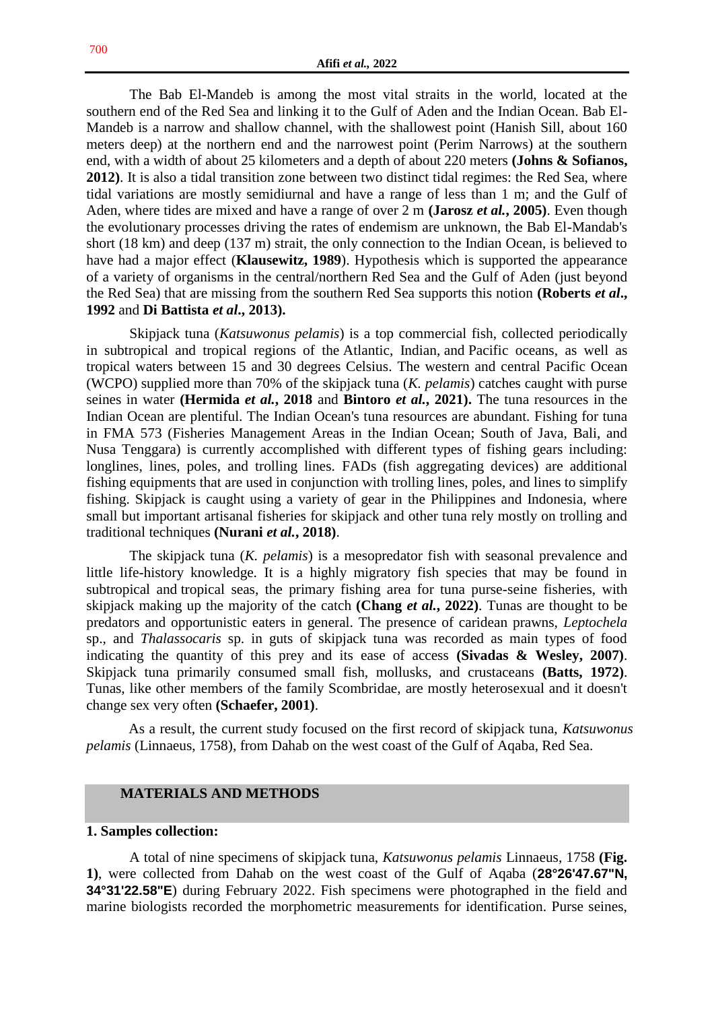The Bab El-Mandeb is among the most vital straits in the world, located at the southern end of the Red Sea and linking it to the Gulf of Aden and the Indian Ocean. Bab El-Mandeb is a narrow and shallow channel, with the shallowest point (Hanish Sill, about 160 meters deep) at the northern end and the narrowest point (Perim Narrows) at the southern end, with a width of about 25 kilometers and a depth of about 220 meters **(Johns & Sofianos, 2012)**. It is also a tidal transition zone between two distinct tidal regimes: the Red Sea, where tidal variations are mostly semidiurnal and have a range of less than 1 m; and the Gulf of Aden, where tides are mixed and have a range of over 2 m **(Jarosz** *et al.***, 2005)**. Even though the evolutionary processes driving the rates of endemism are unknown, the Bab El-Mandab's short (18 km) and deep (137 m) strait, the only connection to the Indian Ocean, is believed to have had a major effect (**Klausewitz, 1989**). Hypothesis which is supported the appearance of a variety of organisms in the central/northern Red Sea and the Gulf of Aden (just beyond the Red Sea) that are missing from the southern Red Sea supports this notion **(Roberts** *et al***., 1992** and **Di Battista** *et al***., 2013).** 

Skipjack tuna (*Katsuwonus pelamis*) is a top commercial fish, collected periodically in subtropical and tropical regions of the Atlantic, Indian, and Pacific oceans, as well as tropical waters between 15 and 30 degrees Celsius. The western and central Pacific Ocean (WCPO) supplied more than 70% of the skipjack tuna (*K. pelamis*) catches caught with purse seines in water **(Hermida** *et al.***, 2018** and **Bintoro** *et al.***, 2021).** The tuna resources in the Indian Ocean are plentiful. The Indian Ocean's tuna resources are abundant. Fishing for tuna in FMA 573 (Fisheries Management Areas in the Indian Ocean; South of Java, Bali, and Nusa Tenggara) is currently accomplished with different types of fishing gears including: longlines, lines, poles, and trolling lines. FADs (fish aggregating devices) are additional fishing equipments that are used in conjunction with trolling lines, poles, and lines to simplify fishing. Skipjack is caught using a variety of gear in the Philippines and Indonesia, where small but important artisanal fisheries for skipjack and other tuna rely mostly on trolling and traditional techniques **(Nurani** *et al.***, 2018)**.

The skipjack tuna (*K. pelamis*) is a mesopredator fish with seasonal prevalence and little life-history knowledge. It is a highly migratory fish species that may be found in subtropical and tropical seas, the primary fishing area for tuna purse-seine fisheries, with skipjack making up the majority of the catch **(Chang** *et al.***, 2022)**. Tunas are thought to be predators and opportunistic eaters in general. The presence of caridean prawns, *Leptochela* sp., and *Thalassocaris* sp. in guts of skipjack tuna was recorded as main types of food indicating the quantity of this prey and its ease of access **(Sivadas & Wesley, 2007)**. Skipjack tuna primarily consumed small fish, mollusks, and crustaceans **(Batts, 1972)**. Tunas, like other members of the family Scombridae, are mostly heterosexual and it doesn't change sex very often **(Schaefer, 2001)**.

As a result, the current study focused on the first record of skipjack tuna, *Katsuwonus pelamis* (Linnaeus, 1758), from Dahab on the west coast of the Gulf of Aqaba, Red Sea.

# **MATERIALS AND METHODS**

## **1. Samples collection:**

A total of nine specimens of skipjack tuna, *Katsuwonus pelamis* Linnaeus, 1758 **(Fig. 1)**, were collected from Dahab on the west coast of the Gulf of Aqaba (**28°26'47.67"N, 34°31'22.58"E**) during February 2022. Fish specimens were photographed in the field and marine biologists recorded the morphometric measurements for identification. Purse seines,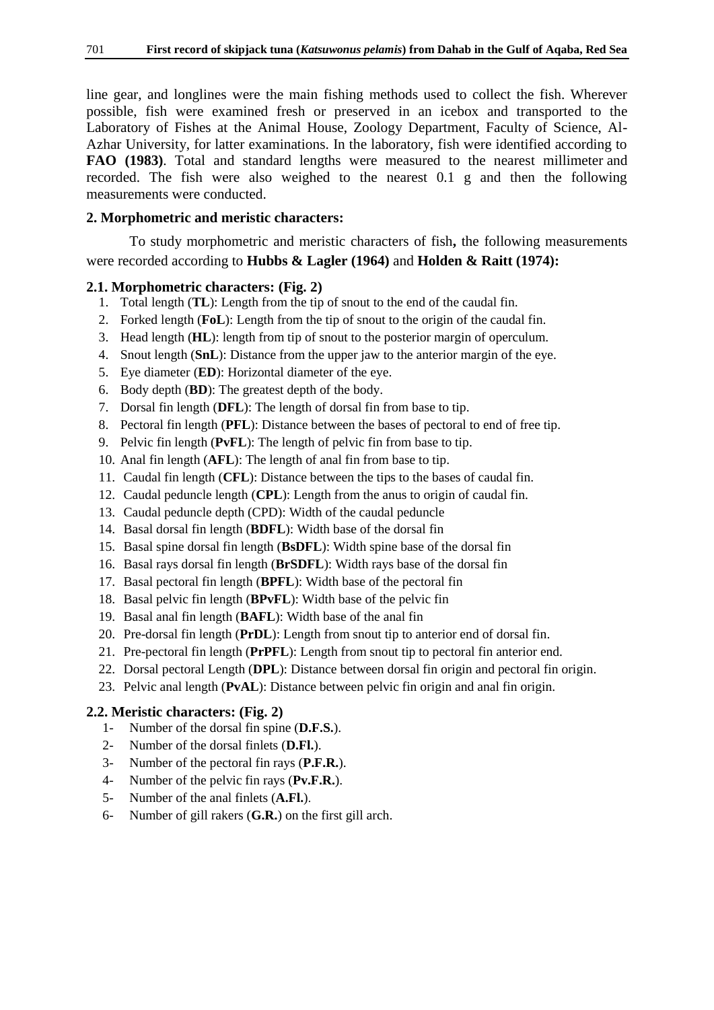line gear, and longlines were the main fishing methods used to collect the fish. Wherever possible, fish were examined fresh or preserved in an icebox and transported to the Laboratory of Fishes at the Animal House, Zoology Department, Faculty of Science, Al-Azhar University, for latter examinations. In the laboratory, fish were identified according to **FAO (1983)**. Total and standard lengths were measured to the nearest millimeter and recorded. The fish were also weighed to the nearest 0.1 g and then the following measurements were conducted.

# **2. Morphometric and meristic characters:**

To study morphometric and meristic characters of fish**,** the following measurements were recorded according to **Hubbs & Lagler (1964)** and **Holden & Raitt (1974):** 

## **2.1. Morphometric characters: (Fig. 2)**

- 1. Total length (**TL**): Length from the tip of snout to the end of the caudal fin.
- 2. Forked length (**FoL**): Length from the tip of snout to the origin of the caudal fin.
- 3. Head length (**HL**): length from tip of snout to the posterior margin of operculum.
- 4. Snout length (**SnL**): Distance from the upper jaw to the anterior margin of the eye.
- 5. Eye diameter (**ED**): Horizontal diameter of the eye.
- 6. Body depth (**BD**): The greatest depth of the body.
- 7. Dorsal fin length (**DFL**): The length of dorsal fin from base to tip.
- 8. Pectoral fin length (**PFL**): Distance between the bases of pectoral to end of free tip.
- 9. Pelvic fin length (**PvFL**): The length of pelvic fin from base to tip.
- 10. Anal fin length (**AFL**): The length of anal fin from base to tip.
- 11. Caudal fin length (**CFL**): Distance between the tips to the bases of caudal fin.
- 12. Caudal peduncle length (**CPL**): Length from the anus to origin of caudal fin.
- 13. Caudal peduncle depth (CPD): Width of the caudal peduncle
- 14. Basal dorsal fin length (**BDFL**): Width base of the dorsal fin
- 15. Basal spine dorsal fin length (**BsDFL**): Width spine base of the dorsal fin
- 16. Basal rays dorsal fin length (**BrSDFL**): Width rays base of the dorsal fin
- 17. Basal pectoral fin length (**BPFL**): Width base of the pectoral fin
- 18. Basal pelvic fin length (**BPvFL**): Width base of the pelvic fin
- 19. Basal anal fin length (**BAFL**): Width base of the anal fin
- 20. Pre-dorsal fin length (**PrDL**): Length from snout tip to anterior end of dorsal fin.
- 21. Pre-pectoral fin length (**PrPFL**): Length from snout tip to pectoral fin anterior end.
- 22. Dorsal pectoral Length (**DPL**): Distance between dorsal fin origin and pectoral fin origin.
- 23. Pelvic anal length (**PvAL**): Distance between pelvic fin origin and anal fin origin.

# **2.2. Meristic characters: (Fig. 2)**

- 1- Number of the dorsal fin spine (**D.F.S.**).
- 2- Number of the dorsal finlets (**D.Fl.**).
- 3- Number of the pectoral fin rays (**P.F.R.**).
- 4- Number of the pelvic fin rays (**Pv.F.R.**).
- 5- Number of the anal finlets (**A.Fl.**).
- 6- Number of gill rakers (**G.R.**) on the first gill arch.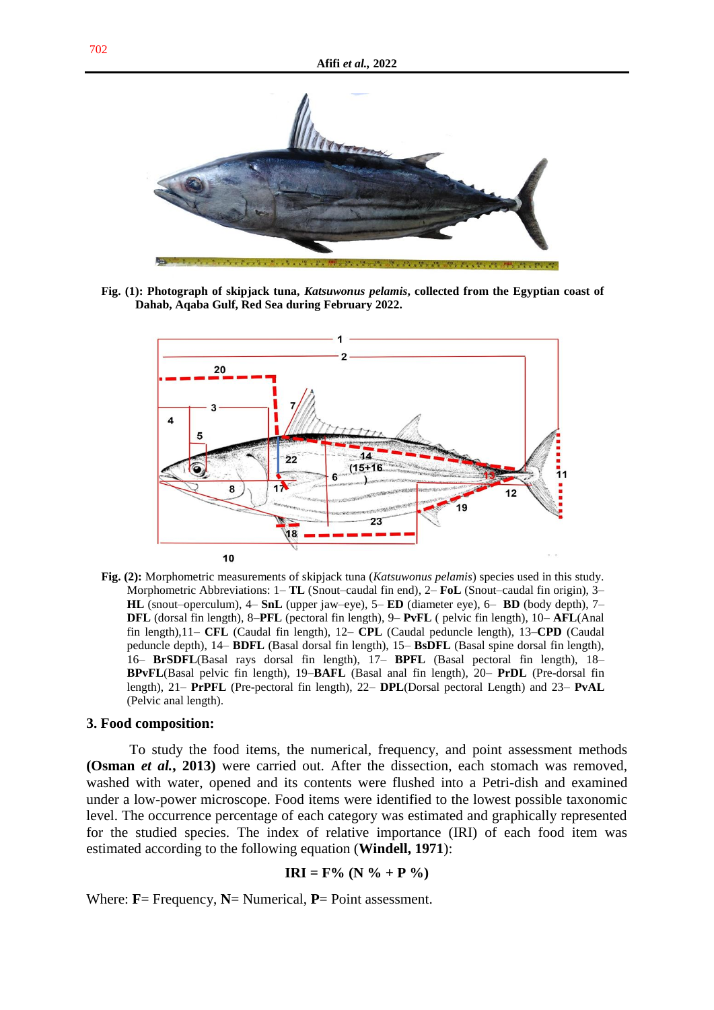

**Fig. (1): Photograph of skipjack tuna,** *Katsuwonus pelamis***, collected from the Egyptian coast of Dahab, Aqaba Gulf, Red Sea during February 2022.**



**Fig. (2):** Morphometric measurements of skipjack tuna (*Katsuwonus pelamis*) species used in this study. Morphometric Abbreviations: 1– **TL** (Snout–caudal fin end), 2– **FoL** (Snout–caudal fin origin), 3– **HL** (snout–operculum), 4– **SnL** (upper jaw–eye), 5– **ED** (diameter eye), 6– **BD** (body depth), 7– **DFL** (dorsal fin length), 8–**PFL** (pectoral fin length), 9– **PvFL** ( pelvic fin length), 10– **AFL**(Anal fin length),11– **CFL** (Caudal fin length), 12– **CPL** (Caudal peduncle length), 13–**CPD** (Caudal peduncle depth), 14– **BDFL** (Basal dorsal fin length), 15– **BsDFL** (Basal spine dorsal fin length), 16– **BrSDFL**(Basal rays dorsal fin length), 17– **BPFL** (Basal pectoral fin length), 18– **BPvFL**(Basal pelvic fin length), 19–**BAFL** (Basal anal fin length), 20– **PrDL** (Pre-dorsal fin length), 21– **PrPFL** (Pre-pectoral fin length), 22– **DPL**(Dorsal pectoral Length) and 23– **PvAL** (Pelvic anal length).

### **3. Food composition:**

To study the food items, the numerical, frequency, and point assessment methods **(Osman** *et al.***, 2013)** were carried out. After the dissection, each stomach was removed, washed with water, opened and its contents were flushed into a Petri-dish and examined under a low-power microscope. Food items were identified to the lowest possible taxonomic level. The occurrence percentage of each category was estimated and graphically represented for the studied species. The index of relative importance (IRI) of each food item was estimated according to the following equation (**Windell, 1971**):

$$
IRI = F\% (N\% + P\%)
$$

Where: **F**= Frequency, **N**= Numerical, **P**= Point assessment.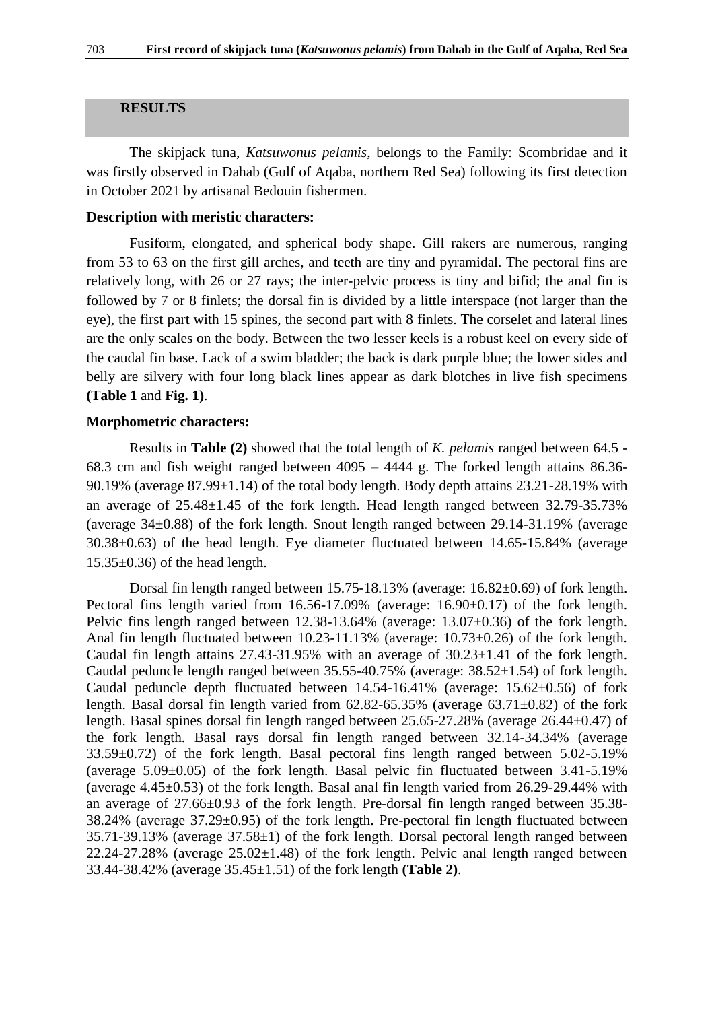# **RESULTS**

The skipjack tuna, *Katsuwonus pelamis*, belongs to the Family: Scombridae and it was firstly observed in Dahab (Gulf of Aqaba, northern Red Sea) following its first detection in October 2021 by artisanal Bedouin fishermen.

# **Description with meristic characters:**

Fusiform, elongated, and spherical body shape. Gill rakers are numerous, ranging from 53 to 63 on the first gill arches, and teeth are tiny and pyramidal. The pectoral fins are relatively long, with 26 or 27 rays; the inter-pelvic process is tiny and bifid; the anal fin is followed by 7 or 8 finlets; the dorsal fin is divided by a little interspace (not larger than the eye), the first part with 15 spines, the second part with 8 finlets. The corselet and lateral lines are the only scales on the body. Between the two lesser keels is a robust keel on every side of the caudal fin base. Lack of a swim bladder; the back is dark purple blue; the lower sides and belly are silvery with four long black lines appear as dark blotches in live fish specimens **(Table 1** and **Fig. 1)**.

# **Morphometric characters:**

Results in **Table (2)** showed that the total length of *K. pelamis* ranged between 64.5 - 68.3 cm and fish weight ranged between 4095 – 4444 g. The forked length attains 86.36- 90.19% (average  $87.99\pm1.14$ ) of the total body length. Body depth attains  $23.21-28.19\%$  with an average of 25.48±1.45 of the fork length. Head length ranged between 32.79-35.73% (average 34±0.88) of the fork length. Snout length ranged between 29.14-31.19% (average 30.38±0.63) of the head length. Eye diameter fluctuated between 14.65-15.84% (average  $15.35\pm0.36$  of the head length.

Dorsal fin length ranged between 15.75-18.13% (average: 16.82±0.69) of fork length. Pectoral fins length varied from 16.56-17.09% (average: 16.90±0.17) of the fork length. Pelvic fins length ranged between 12.38-13.64% (average: 13.07±0.36) of the fork length. Anal fin length fluctuated between 10.23-11.13% (average: 10.73±0.26) of the fork length. Caudal fin length attains  $27.43-31.95\%$  with an average of  $30.23\pm1.41$  of the fork length. Caudal peduncle length ranged between 35.55-40.75% (average: 38.52±1.54) of fork length. Caudal peduncle depth fluctuated between 14.54-16.41% (average: 15.62±0.56) of fork length. Basal dorsal fin length varied from 62.82-65.35% (average 63.71±0.82) of the fork length. Basal spines dorsal fin length ranged between 25.65-27.28% (average 26.44±0.47) of the fork length. Basal rays dorsal fin length ranged between 32.14-34.34% (average 33.59±0.72) of the fork length. Basal pectoral fins length ranged between 5.02-5.19% (average  $5.09\pm0.05$ ) of the fork length. Basal pelvic fin fluctuated between  $3.41-5.19\%$ (average  $4.45\pm0.53$ ) of the fork length. Basal anal fin length varied from 26.29-29.44% with an average of  $27.66\pm0.93$  of the fork length. Pre-dorsal fin length ranged between  $35.38$ -38.24% (average 37.29±0.95) of the fork length. Pre-pectoral fin length fluctuated between 35.71-39.13% (average 37.58±1) of the fork length. Dorsal pectoral length ranged between  $22.24 - 27.28\%$  (average  $25.02 \pm 1.48$ ) of the fork length. Pelvic anal length ranged between 33.44-38.42% (average 35.45±1.51) of the fork length **(Table 2)**.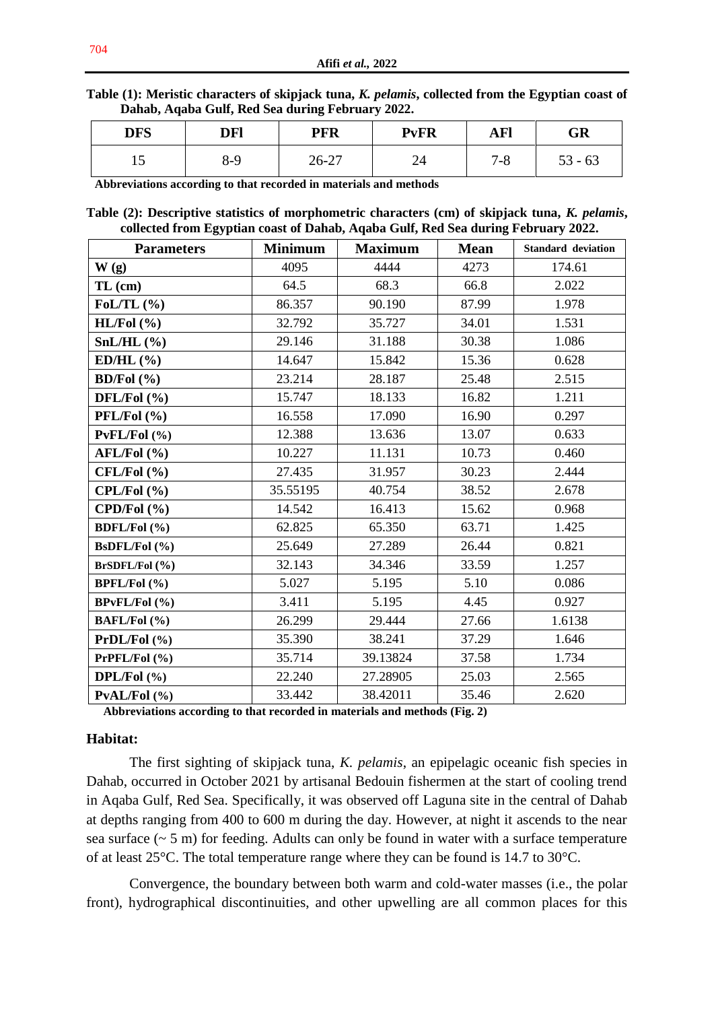**Table (1): Meristic characters of skipjack tuna,** *K. pelamis***, collected from the Egyptian coast of Dahab, Aqaba Gulf, Red Sea during February 2022.**

| <b>DFS</b> | DFl | <b>PFR</b> | <b>PvFR</b> | <b>AFl</b>  | GR           |
|------------|-----|------------|-------------|-------------|--------------|
| ⊥୰         | 8-9 | $26 - 27$  | ⊿ ר<br>44   | 70<br>/ - ბ | $53 -$<br>63 |

**Abbreviations according to that recorded in materials and methods**

**Table (2): Descriptive statistics of morphometric characters (cm) of skipjack tuna,** *K. pelamis***, collected from Egyptian coast of Dahab, Aqaba Gulf, Red Sea during February 2022.**

| <b>Parameters</b>    | <b>Minimum</b> | <b>Maximum</b> | <b>Mean</b> | <b>Standard deviation</b> |  |
|----------------------|----------------|----------------|-------------|---------------------------|--|
| W(g)                 | 4095           | 4444           | 4273        | 174.61                    |  |
| $TL$ (cm)            | 64.5           | 68.3           | 66.8        | 2.022                     |  |
| FoL/TL $(\% )$       | 86.357         | 90.190         | 87.99       | 1.978                     |  |
| $HL/ Fol$ $(\% )$    | 32.792         | 35.727         | 34.01       | 1.531                     |  |
| $SnL/HL$ (%)         | 29.146         | 31.188         | 30.38       | 1.086                     |  |
| $ED/HL$ (%)          | 14.647         | 15.842         | 15.36       | 0.628                     |  |
| BD/Fol $(\% )$       | 23.214         | 28.187         | 25.48       | 2.515                     |  |
| DFL/Fol (%)          | 15.747         | 18.133         | 16.82       | 1.211                     |  |
| $PFL/Fol$ (%)        | 16.558         | 17.090         | 16.90       | 0.297                     |  |
| $PvFL/Fol$ (%)       | 12.388         | 13.636         | 13.07       | 0.633                     |  |
| $AFL/Fol$ (%)        | 10.227         | 11.131         | 10.73       | 0.460                     |  |
| $CFL/Fol$ $(\% )$    | 27.435         | 31.957         | 30.23       | 2.444                     |  |
| CPL/ Fol(%)          | 35.55195       | 40.754         | 38.52       | 2.678                     |  |
| CPD/Pol(%            | 14.542         | 16.413         | 15.62       | 0.968                     |  |
| <b>BDFL/Fol</b> (%)  | 62.825         | 65.350         | 63.71       | 1.425                     |  |
| BsDFL/Fol (%)        | 25.649         | 27.289         | 26.44       | 0.821                     |  |
| BrSDFL/Fol (%)       | 32.143         | 34.346         | 33.59       | 1.257                     |  |
| <b>BPFL/Fol</b> (%)  | 5.027          | 5.195          | 5.10        | 0.086                     |  |
| <b>BPvFL/Fol</b> (%) | 3.411          | 5.195          | 4.45        | 0.927                     |  |
| BAFL/Fol (%)         | 26.299         | 29.444         | 27.66       | 1.6138                    |  |
| PrDL/Pol(%           | 35.390         | 38.241         | 37.29       | 1.646                     |  |
| PrPFL/Fol(% )        | 35.714         | 39.13824       | 37.58       | 1.734                     |  |
| DPL/Fol $(\% )$      | 22.240         | 27.28905       | 25.03       | 2.565                     |  |
| PVAL/FeI (%)         | 33.442         | 38.42011       | 35.46       | 2.620                     |  |

**Abbreviations according to that recorded in materials and methods (Fig. 2)**

# **Habitat:**

The first sighting of skipjack tuna, *K. pelamis*, an epipelagic oceanic fish species in Dahab, occurred in October 2021 by artisanal Bedouin fishermen at the start of cooling trend in Aqaba Gulf, Red Sea. Specifically, it was observed off Laguna site in the central of Dahab at depths ranging from 400 to 600 m during the day. However, at night it ascends to the near sea surface  $({\sim} 5 \text{ m})$  for feeding. Adults can only be found in water with a surface temperature of at least 25°C. The total temperature range where they can be found is 14.7 to 30°C.

Convergence, the boundary between both warm and cold-water masses (i.e., the polar front), hydrographical discontinuities, and other upwelling are all common places for this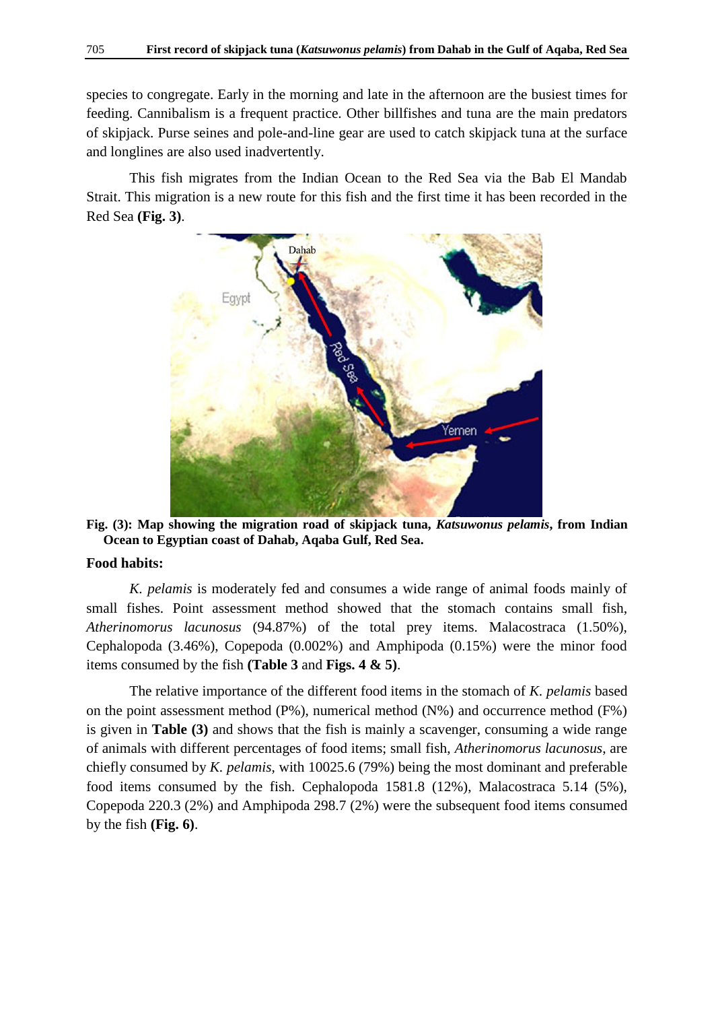species to congregate. Early in the morning and late in the afternoon are the busiest times for feeding. Cannibalism is a frequent practice. Other billfishes and tuna are the main predators of skipjack. Purse seines and pole-and-line gear are used to catch skipjack tuna at the surface and longlines are also used inadvertently.

This fish migrates from the Indian Ocean to the Red Sea via the Bab El Mandab Strait. This migration is a new route for this fish and the first time it has been recorded in the Red Sea **(Fig. 3)**.



**Fig. (3): Map showing the migration road of skipjack tuna,** *Katsuwonus pelamis***, from Indian Ocean to Egyptian coast of Dahab, Aqaba Gulf, Red Sea.**

# **Food habits:**

*K. pelamis* is moderately fed and consumes a wide range of animal foods mainly of small fishes. Point assessment method showed that the stomach contains small fish, *Atherinomorus lacunosus* (94.87%) of the total prey items. Malacostraca (1.50%), Cephalopoda (3.46%), Copepoda (0.002%) and Amphipoda (0.15%) were the minor food items consumed by the fish **(Table 3** and **Figs. 4 & 5)**.

The relative importance of the different food items in the stomach of *K. pelamis* based on the point assessment method (P%), numerical method (N%) and occurrence method (F%) is given in **Table (3)** and shows that the fish is mainly a scavenger, consuming a wide range of animals with different percentages of food items; small fish, *Atherinomorus lacunosus*, are chiefly consumed by *K. pelamis*, with 10025.6 (79%) being the most dominant and preferable food items consumed by the fish. Cephalopoda 1581.8 (12%), Malacostraca 5.14 (5%), Copepoda 220.3 (2%) and Amphipoda 298.7 (2%) were the subsequent food items consumed by the fish **(Fig. 6)**.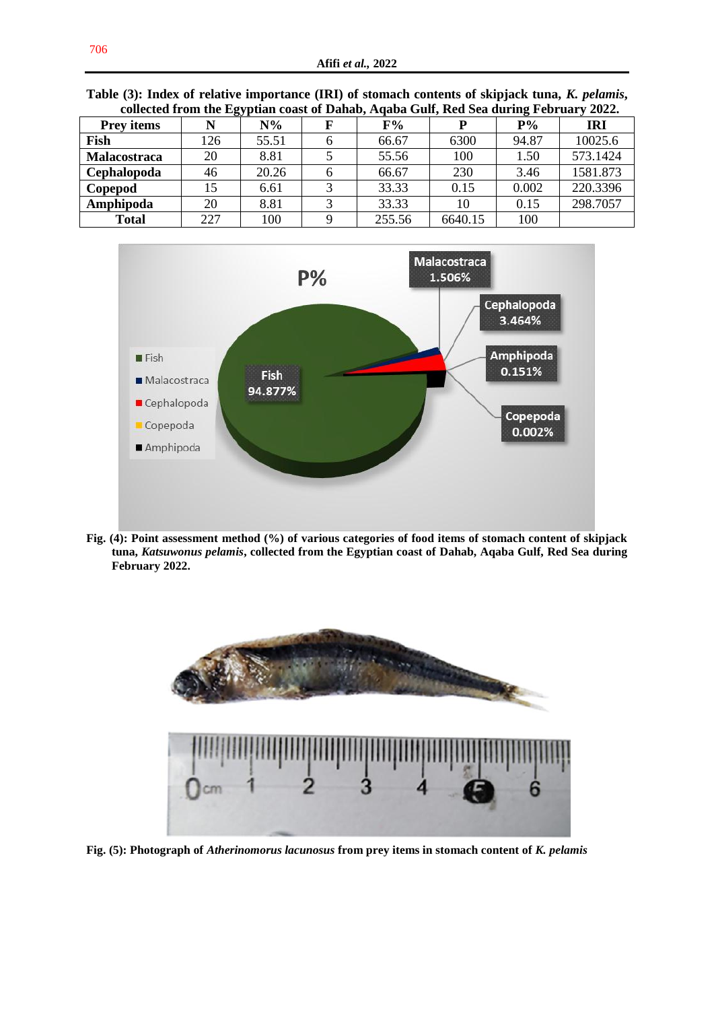| conceita ii oni the Egyptian coast of Danab, Aqaba Gun, ixtu bea uuring February 2022. |     |       |  |        |         |       |          |
|----------------------------------------------------------------------------------------|-----|-------|--|--------|---------|-------|----------|
| <b>Prey items</b>                                                                      |     | $N\%$ |  | F%     |         | $P\%$ | IRI      |
| Fish                                                                                   | 126 | 55.51 |  | 66.67  | 6300    | 94.87 | 10025.6  |
| Malacostraca                                                                           | 20  | 8.81  |  | 55.56  | 100     | 1.50  | 573.1424 |
| Cephalopoda                                                                            | 46  | 20.26 |  | 66.67  | 230     | 3.46  | 1581.873 |
| Copepod                                                                                | 15  | 6.61  |  | 33.33  | 0.15    | 0.002 | 220.3396 |
| Amphipoda                                                                              | 20  | 8.81  |  | 33.33  | 10      | 0.15  | 298.7057 |
| Total                                                                                  | 227 | 100   |  | 255.56 | 6640.15 | 100   |          |

**Table (3): Index of relative importance (IRI) of stomach contents of skipjack tuna,** *K. pelamis***, collected from the Egyptian coast of Dahab, Aqaba Gulf, Red Sea during February 2022.**



**Fig. (4): Point assessment method (%) of various categories of food items of stomach content of skipjack tuna,** *Katsuwonus pelamis***, collected from the Egyptian coast of Dahab, Aqaba Gulf, Red Sea during February 2022.**



**Fig. (5): Photograph of** *Atherinomorus lacunosus* **from prey items in stomach content of** *K. pelamis*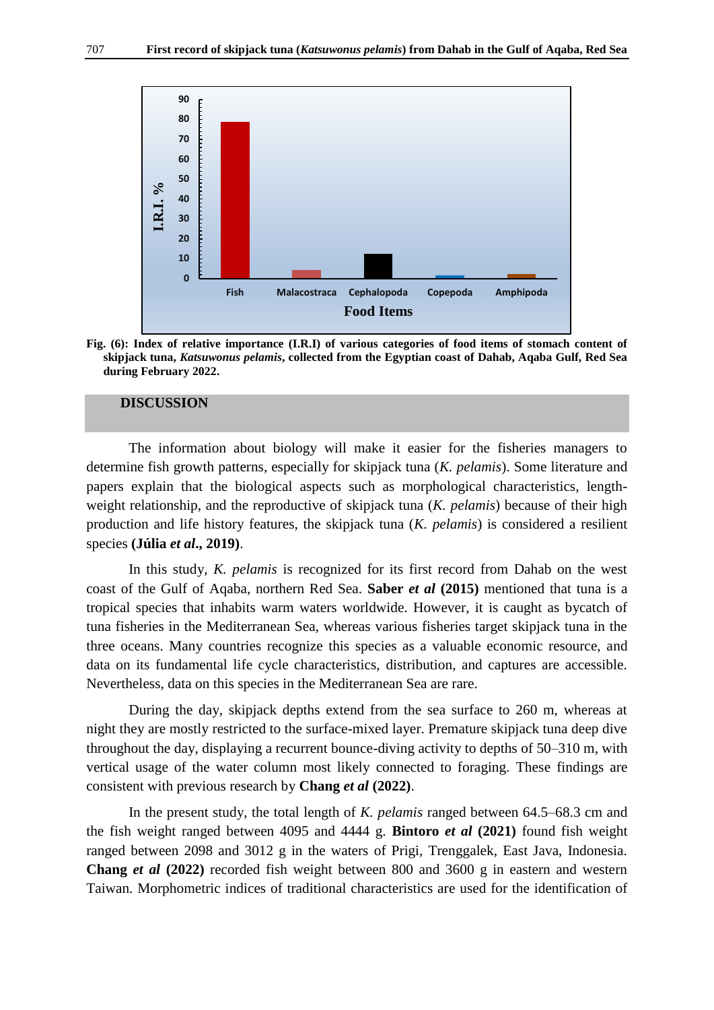

**Fig. (6): Index of relative importance (I.R.I) of various categories of food items of stomach content of skipjack tuna,** *Katsuwonus pelamis***, collected from the Egyptian coast of Dahab, Aqaba Gulf, Red Sea during February 2022.**

## **DISCUSSION**

The information about biology will make it easier for the fisheries managers to determine fish growth patterns, especially for skipjack tuna (*K. pelamis*). Some literature and papers explain that the biological aspects such as morphological characteristics, lengthweight relationship, and the reproductive of skipjack tuna (*K. pelamis*) because of their high production and life history features, the skipjack tuna (*K. pelamis*) is considered a resilient species **(Júlia** *et al***., 2019)**.

In this study, *K. pelamis* is recognized for its first record from Dahab on the west coast of the Gulf of Aqaba, northern Red Sea. **Saber** *et al* **(2015)** mentioned that tuna is a tropical species that inhabits warm waters worldwide. However, it is caught as bycatch of tuna fisheries in the Mediterranean Sea, whereas various fisheries target skipjack tuna in the three oceans. Many countries recognize this species as a valuable economic resource, and data on its fundamental life cycle characteristics, distribution, and captures are accessible. Nevertheless, data on this species in the Mediterranean Sea are rare.

During the day, skipjack depths extend from the sea surface to 260 m, whereas at night they are mostly restricted to the surface-mixed layer. Premature skipjack tuna deep dive throughout the day, displaying a recurrent bounce-diving activity to depths of 50–310 m, with vertical usage of the water column most likely connected to foraging. These findings are consistent with previous research by **Chang** *et al* **(2022)**.

In the present study, the total length of *K. pelamis* ranged between 64.5–68.3 cm and the fish weight ranged between 4095 and 4444 g. **Bintoro** *et al* **(2021)** found fish weight ranged between 2098 and 3012 g in the waters of Prigi, Trenggalek, East Java, Indonesia. **Chang** *et al* **(2022)** recorded fish weight between 800 and 3600 g in eastern and western Taiwan. Morphometric indices of traditional characteristics are used for the identification of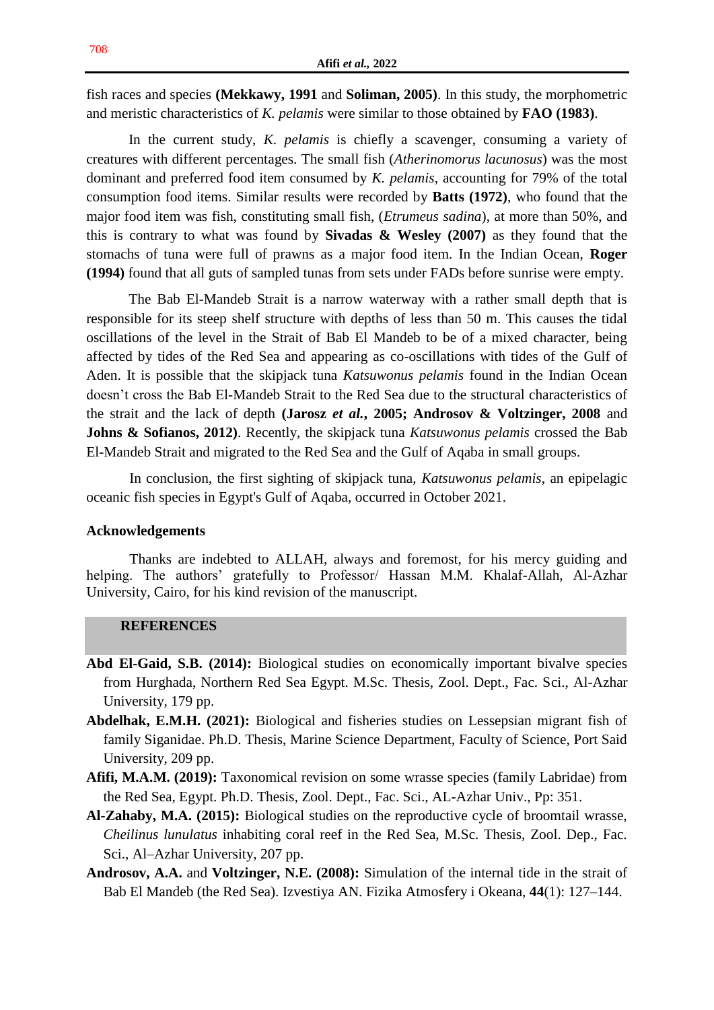fish races and species **(Mekkawy, 1991** and **Soliman, 2005)**. In this study, the morphometric and meristic characteristics of *K. pelamis* were similar to those obtained by **FAO (1983)**.

In the current study, *K. pelamis* is chiefly a scavenger, consuming a variety of creatures with different percentages. The small fish (*Atherinomorus lacunosus*) was the most dominant and preferred food item consumed by *K. pelamis*, accounting for 79% of the total consumption food items. Similar results were recorded by **Batts (1972)**, who found that the major food item was fish, constituting small fish, (*Etrumeus sadina*), at more than 50%, and this is contrary to what was found by **Sivadas & Wesley (2007)** as they found that the stomachs of tuna were full of prawns as a major food item. In the Indian Ocean, **Roger (1994)** found that all guts of sampled tunas from sets under FADs before sunrise were empty.

The Bab El-Mandeb Strait is a narrow waterway with a rather small depth that is responsible for its steep shelf structure with depths of less than 50 m. This causes the tidal oscillations of the level in the Strait of Bab El Mandeb to be of a mixed character, being affected by tides of the Red Sea and appearing as co-oscillations with tides of the Gulf of Aden. It is possible that the skipjack tuna *Katsuwonus pelamis* found in the Indian Ocean doesn't cross the Bab El-Mandeb Strait to the Red Sea due to the structural characteristics of the strait and the lack of depth **(Jarosz** *et al.***, 2005; Androsov & Voltzinger, 2008** and **Johns & Sofianos, 2012)**. Recently, the skipjack tuna *Katsuwonus pelamis* crossed the Bab El-Mandeb Strait and migrated to the Red Sea and the Gulf of Aqaba in small groups.

In conclusion, the first sighting of skipjack tuna, *Katsuwonus pelamis*, an epipelagic oceanic fish species in Egypt's Gulf of Aqaba, occurred in October 2021.

## **Acknowledgements**

Thanks are indebted to ALLAH, always and foremost, for his mercy guiding and helping. The authors' gratefully to Professor/ Hassan M.M. Khalaf-Allah, Al-Azhar University, Cairo, for his kind revision of the manuscript.

# **REFERENCES**

- **Abd El-Gaid, S.B. (2014):** Biological studies on economically important bivalve species from Hurghada, Northern Red Sea Egypt. M.Sc. Thesis, Zool. Dept., Fac. Sci., Al-Azhar University, 179 pp.
- **Abdelhak, E.M.H. (2021):** Biological and fisheries studies on Lessepsian migrant fish of family Siganidae. Ph.D. Thesis, Marine Science Department, Faculty of Science, Port Said University, 209 pp.
- **Afifi, M.A.M. (2019):** Taxonomical revision on some wrasse species (family Labridae) from the Red Sea, Egypt. Ph.D. Thesis, Zool. Dept., Fac. Sci., AL-Azhar Univ., Pp: 351.
- **Al-Zahaby, M.A. (2015):** Biological studies on the reproductive cycle of broomtail wrasse, *Cheilinus lunulatus* inhabiting coral reef in the Red Sea, M.Sc. Thesis, Zool. Dep., Fac. Sci., Al–Azhar University, 207 pp.
- **Androsov, A.A.** and **Voltzinger, N.E. (2008):** Simulation of the internal tide in the strait of Bab El Mandeb (the Red Sea). Izvestiya AN. Fizika Atmosfery i Okeana, **44**(1): 127–144.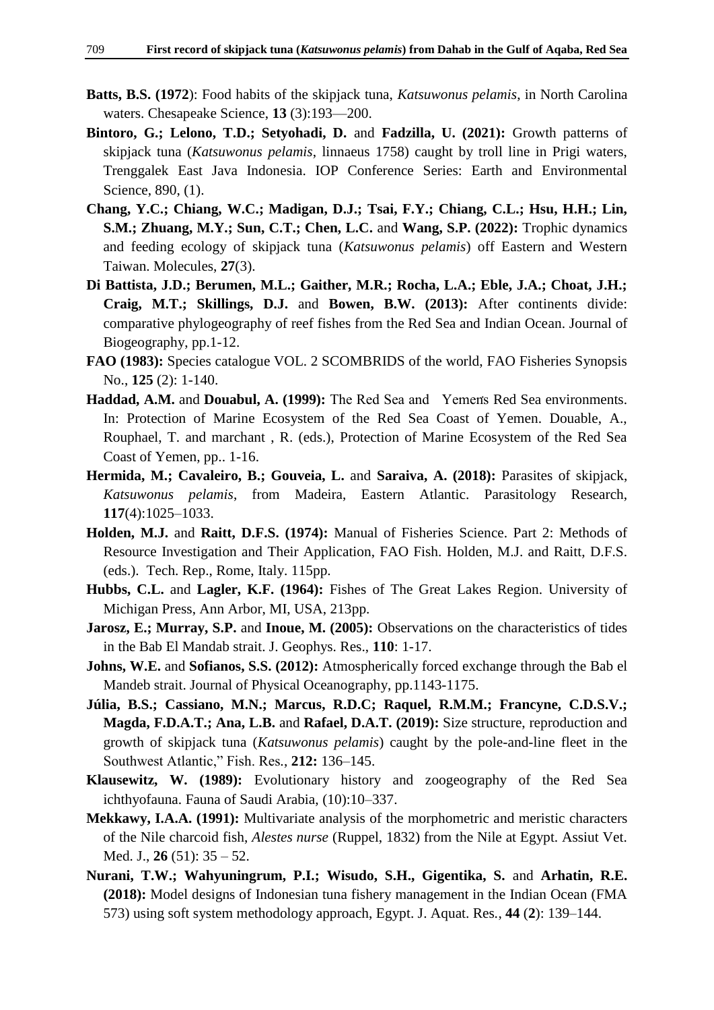- **Batts, B.S. (1972**): Food habits of the skipjack tuna, *Katsuwonus pelamis*, in North Carolina waters. Chesapeake Science, **13** (3):193—200.
- **Bintoro, G.; Lelono, T.D.; Setyohadi, D.** and **Fadzilla, U. (2021):** Growth patterns of skipjack tuna (*Katsuwonus pelamis*, linnaeus 1758) caught by troll line in Prigi waters, Trenggalek East Java Indonesia. IOP Conference Series: Earth and Environmental Science, 890, (1).
- **Chang, Y.C.; Chiang, W.C.; Madigan, D.J.; Tsai, F.Y.; Chiang, C.L.; Hsu, H.H.; Lin, S.M.; Zhuang, M.Y.; Sun, C.T.; Chen, L.C.** and **Wang, S.P. (2022):** Trophic dynamics and feeding ecology of skipjack tuna (*Katsuwonus pelamis*) off Eastern and Western Taiwan. Molecules, **27**(3).
- **Di Battista, J.D.; Berumen, M.L.; Gaither, M.R.; Rocha, L.A.; Eble, J.A.; Choat, J.H.; Craig, M.T.; Skillings, D.J.** and **Bowen, B.W. (2013):** After continents divide: comparative phylogeography of reef fishes from the Red Sea and Indian Ocean. Journal of Biogeography, pp.1-12.
- **FAO (1983):** Species catalogue VOL. 2 SCOMBRIDS of the world, FAO Fisheries Synopsis No., **125** (2): 1-140.
- Haddad, A.M. and Douabul, A. (1999): The Red Sea and Yemen's Red Sea environments. In: Protection of Marine Ecosystem of the Red Sea Coast of Yemen. Douable, A., Rouphael, T. and marchant , R. (eds.), Protection of Marine Ecosystem of the Red Sea Coast of Yemen, pp.. 1-16.
- **Hermida, M.; Cavaleiro, B.; Gouveia, L.** and **Saraiva, A. (2018):** Parasites of skipjack, *Katsuwonus pelamis*, from Madeira, Eastern Atlantic. Parasitology Research, **117**(4):1025–1033.
- **Holden, M.J.** and **Raitt, D.F.S. (1974):** Manual of Fisheries Science. Part 2: Methods of Resource Investigation and Their Application, FAO Fish. Holden, M.J. and Raitt, D.F.S. (eds.). Tech. Rep., Rome, Italy. 115pp.
- **Hubbs, C.L.** and **Lagler, K.F. (1964):** Fishes of The Great Lakes Region. University of Michigan Press, Ann Arbor, MI, USA, 213pp.
- **Jarosz, E.; Murray, S.P. and Inoue, M. (2005):** Observations on the characteristics of tides in the Bab El Mandab strait. J. Geophys. Res., **110**: 1-17.
- **Johns, W.E.** and **Sofianos, S.S. (2012):** Atmospherically forced exchange through the Bab el Mandeb strait. Journal of Physical Oceanography, pp.1143-1175.
- **Júlia, B.S.; Cassiano, M.N.; Marcus, R.D.C; Raquel, R.M.M.; Francyne, C.D.S.V.; Magda, F.D.A.T.; Ana, L.B.** and **Rafael, D.A.T. (2019):** Size structure, reproduction and growth of skipjack tuna (*Katsuwonus pelamis*) caught by the pole-and-line fleet in the Southwest Atlantic," Fish. Res., 212: 136-145.
- **Klausewitz, W. (1989):** Evolutionary history and zoogeography of the Red Sea ichthyofauna. Fauna of Saudi Arabia, (10):10–337.
- **Mekkawy, I.A.A. (1991):** Multivariate analysis of the morphometric and meristic characters of the Nile charcoid fish, *Alestes nurse* (Ruppel, 1832) from the Nile at Egypt. Assiut Vet. Med. J., **26** (51): 35 – 52.
- **Nurani, T.W.; Wahyuningrum, P.I.; Wisudo, S.H., Gigentika, S.** and **Arhatin, R.E. (2018):** Model designs of Indonesian tuna fishery management in the Indian Ocean (FMA 573) using soft system methodology approach, Egypt. J. Aquat. Res*.*, **44** (**2**): 139–144.